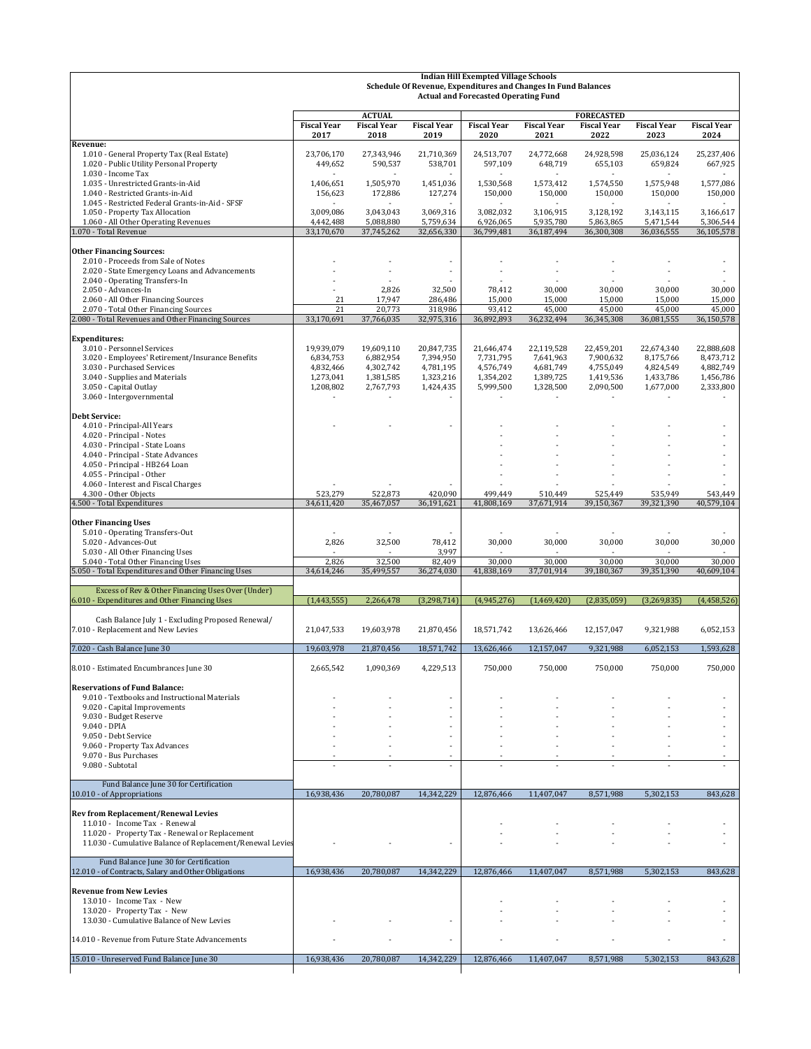|                                                                                                                            | <b>Indian Hill Exempted Village Schools</b><br>Schedule Of Revenue, Expenditures and Changes In Fund Balances<br><b>Actual and Forecasted Operating Fund</b> |                                     |                        |                        |                        |                                         |                        |                        |
|----------------------------------------------------------------------------------------------------------------------------|--------------------------------------------------------------------------------------------------------------------------------------------------------------|-------------------------------------|------------------------|------------------------|------------------------|-----------------------------------------|------------------------|------------------------|
|                                                                                                                            | <b>Fiscal Year</b>                                                                                                                                           | <b>ACTUAL</b><br><b>Fiscal Year</b> | <b>Fiscal Year</b>     | <b>Fiscal Year</b>     | <b>Fiscal Year</b>     | <b>FORECASTED</b><br><b>Fiscal Year</b> | <b>Fiscal Year</b>     | <b>Fiscal Year</b>     |
|                                                                                                                            | 2017                                                                                                                                                         | 2018                                | 2019                   | 2020                   | 2021                   | 2022                                    | 2023                   | 2024                   |
| Revenue:<br>1.010 - General Property Tax (Real Estate)<br>1.020 - Public Utility Personal Property                         | 23,706,170<br>449,652                                                                                                                                        | 27,343,946<br>590,537               | 21,710,369<br>538,701  | 24,513,707<br>597,109  | 24,772,668<br>648,719  | 24,928,598<br>655,103                   | 25,036,124<br>659,824  | 25,237,406<br>667,925  |
| 1.030 - Income Tax<br>1.035 - Unrestricted Grants-in-Aid<br>1.040 - Restricted Grants-in-Aid                               | 1,406,651<br>156,623                                                                                                                                         | 1,505,970<br>172,886                | 1,451,036<br>127,274   | 1,530,568<br>150,000   | 1,573,412<br>150,000   | 1,574,550<br>150,000                    | 1,575,948<br>150,000   | 1,577,086<br>150,000   |
| 1.045 - Restricted Federal Grants-in-Aid - SFSF<br>1.050 - Property Tax Allocation<br>1.060 - All Other Operating Revenues | 3,009,086<br>4,442,488                                                                                                                                       | 3,043,043<br>5,088,880              | 3,069,316<br>5,759,634 | 3,082,032<br>6,926,065 | 3,106,915<br>5,935,780 | 3,128,192<br>5,863,865                  | 3,143,115<br>5,471,544 | 3,166,617<br>5,306,544 |
| 1.070 - Total Revenue                                                                                                      | 33,170,670                                                                                                                                                   | 37,745,262                          | 32,656,330             | 36,799,481             | 36,187,494             | 36,300,308                              | 36,036,555             | 36,105,578             |
| <b>Other Financing Sources:</b>                                                                                            |                                                                                                                                                              |                                     |                        |                        |                        |                                         |                        |                        |
| 2.010 - Proceeds from Sale of Notes<br>2.020 - State Emergency Loans and Advancements                                      |                                                                                                                                                              |                                     | $\sim$                 |                        |                        |                                         |                        | $\sim$                 |
| 2.040 - Operating Transfers-In                                                                                             |                                                                                                                                                              |                                     |                        |                        |                        |                                         |                        |                        |
| 2.050 - Advances-In<br>2.060 - All Other Financing Sources                                                                 | 21                                                                                                                                                           | 2,826<br>17,947                     | 32,500<br>286,486      | 78,412<br>15,000       | 30,000<br>15,000       | 30,000<br>15,000                        | 30,000<br>15,000       | 30,000<br>15,000       |
| 2.070 - Total Other Financing Sources                                                                                      | 21                                                                                                                                                           | 20,773                              | 318,986                | 93,412                 | 45,000                 | 45,000                                  | 45,000                 | 45,000                 |
| 2.080 - Total Revenues and Other Financing Sources                                                                         | 33,170,691                                                                                                                                                   | 37,766,035                          | 32,975,316             | 36,892,893             | 36,232,494             | 36,345,308                              | 36,081,555             | 36,150,578             |
| <b>Expenditures:</b>                                                                                                       |                                                                                                                                                              |                                     |                        |                        |                        |                                         |                        |                        |
| 3.010 - Personnel Services                                                                                                 | 19,939,079                                                                                                                                                   | 19,609,110                          | 20,847,735             | 21,646,474             | 22,119,528             | 22,459,201                              | 22,674,340             | 22,888,608             |
| 3.020 - Employees' Retirement/Insurance Benefits<br>3.030 - Purchased Services                                             | 6,834,753<br>4,832,466                                                                                                                                       | 6,882,954<br>4,302,742              | 7,394,950<br>4,781,195 | 7,731,795<br>4,576,749 | 7,641,963<br>4,681,749 | 7,900,632<br>4,755,049                  | 8,175,766<br>4,824,549 | 8,473,712<br>4,882,749 |
| 3.040 - Supplies and Materials                                                                                             | 1,273,041                                                                                                                                                    | 1,381,585                           | 1,323,216              | 1,354,202              | 1,389,725              | 1,419,536                               | 1,433,786              | 1,456,786              |
| 3.050 - Capital Outlay<br>3.060 - Intergovernmental                                                                        | 1,208,802                                                                                                                                                    | 2,767,793                           | 1,424,435              | 5,999,500              | 1,328,500              | 2,090,500                               | 1,677,000              | 2,333,800              |
|                                                                                                                            |                                                                                                                                                              |                                     |                        |                        |                        |                                         |                        |                        |
| <b>Debt Service:</b><br>4.010 - Principal-All Years                                                                        |                                                                                                                                                              |                                     |                        |                        |                        |                                         |                        |                        |
| 4.020 - Principal - Notes                                                                                                  |                                                                                                                                                              |                                     |                        |                        |                        |                                         |                        |                        |
| 4.030 - Principal - State Loans                                                                                            |                                                                                                                                                              |                                     |                        |                        |                        |                                         |                        |                        |
| 4.040 - Principal - State Advances<br>4.050 - Principal - HB264 Loan                                                       |                                                                                                                                                              |                                     |                        |                        |                        |                                         |                        |                        |
| 4.055 - Principal - Other                                                                                                  |                                                                                                                                                              |                                     |                        |                        |                        |                                         |                        |                        |
| 4.060 - Interest and Fiscal Charges<br>4.300 - Other Objects                                                               | 523,279                                                                                                                                                      | 522,873                             | 420,090                | 499,449                | 510,449                |                                         | 535,949                | 543,449                |
| 4.500 - Total Expenditures                                                                                                 | 34,611,420                                                                                                                                                   | 35,467,057                          | 36,191,621             | 41,808,169             | 37,671,914             | 525,449<br>39,150,367                   | 39,321,390             | 40,579,104             |
|                                                                                                                            |                                                                                                                                                              |                                     |                        |                        |                        |                                         |                        |                        |
| <b>Other Financing Uses</b><br>5.010 - Operating Transfers-Out                                                             |                                                                                                                                                              |                                     |                        |                        |                        |                                         |                        |                        |
| 5.020 - Advances-Out                                                                                                       | 2,826                                                                                                                                                        | 32,500                              | 78,412                 | 30,000                 | 30,000                 | 30,000                                  | 30,000                 | 30,000                 |
| 5.030 - All Other Financing Uses<br>5.040 - Total Other Financing Uses                                                     | 2,826                                                                                                                                                        | 32,500                              | 3,997<br>82,409        | 30,000                 | 30,000                 | 30,000                                  | 30,000                 | 30,000                 |
| 5.050 - Total Expenditures and Other Financing Uses                                                                        | 34,614,246                                                                                                                                                   | 35,499,557                          | 36,274,030             | 41,838,169             | 37,701,914             | 39,180,367                              | 39,351,390             | 40,609,104             |
| Excess of Rev & Other Financing Uses Over (Under)                                                                          |                                                                                                                                                              |                                     |                        |                        |                        |                                         |                        |                        |
| 6.010 - Expenditures and Other Financing Uses                                                                              | (1,443,555)                                                                                                                                                  | 2,266,478                           | (3,298,714)            | (4,945,276)            | (1,469,420)            | (2,835,059)                             | (3, 269, 835)          | (4,458,526)            |
| Cash Balance July 1 - Excluding Proposed Renewal/                                                                          |                                                                                                                                                              |                                     |                        |                        |                        |                                         |                        |                        |
| 7.010 - Replacement and New Levies                                                                                         | 21,047,533                                                                                                                                                   | 19,603,978                          | 21,870,456             | 18,571,742             | 13,626,466             | 12,157,047                              | 9,321,988              | 6,052,153              |
| 7.020 - Cash Balance June 30                                                                                               | 19,603,978                                                                                                                                                   | 21,870,456                          | 18,571,742             | 13,626,466             | 12,157,047             | 9,321,988                               | 6,052,153              | 1,593,628              |
| 8.010 - Estimated Encumbrances June 30                                                                                     | 2,665,542                                                                                                                                                    | 1,090,369                           | 4,229,513              | 750,000                | 750,000                | 750,000                                 | 750,000                | 750,000                |
| <b>Reservations of Fund Balance:</b>                                                                                       |                                                                                                                                                              |                                     |                        |                        |                        |                                         |                        |                        |
| 9.010 - Textbooks and Instructional Materials                                                                              |                                                                                                                                                              |                                     |                        |                        |                        |                                         |                        |                        |
| 9.020 - Capital Improvements<br>9.030 - Budget Reserve                                                                     |                                                                                                                                                              |                                     |                        |                        |                        |                                         |                        |                        |
| 9.040 - DPIA                                                                                                               |                                                                                                                                                              |                                     |                        |                        |                        |                                         |                        |                        |
| 9.050 - Debt Service                                                                                                       |                                                                                                                                                              |                                     |                        |                        |                        |                                         |                        |                        |
| 9.060 - Property Tax Advances<br>9.070 - Bus Purchases                                                                     |                                                                                                                                                              |                                     |                        |                        |                        |                                         |                        |                        |
| 9.080 - Subtotal                                                                                                           |                                                                                                                                                              |                                     | $\sim$                 |                        |                        |                                         |                        |                        |
| Fund Balance June 30 for Certification                                                                                     |                                                                                                                                                              |                                     |                        |                        |                        |                                         |                        |                        |
| 10.010 - of Appropriations                                                                                                 | 16,938,436                                                                                                                                                   | 20,780,087                          | 14,342,229             | 12,876,466             | 11,407,047             | 8,571,988                               | 5,302,153              | 843,628                |
| <b>Rev from Replacement/Renewal Levies</b>                                                                                 |                                                                                                                                                              |                                     |                        |                        |                        |                                         |                        |                        |
| 11.010 - Income Tax - Renewal                                                                                              |                                                                                                                                                              |                                     |                        |                        |                        |                                         |                        |                        |
| 11.020 - Property Tax - Renewal or Replacement<br>11.030 - Cumulative Balance of Replacement/Renewal Levies                |                                                                                                                                                              |                                     |                        |                        |                        |                                         |                        |                        |
|                                                                                                                            |                                                                                                                                                              |                                     |                        |                        |                        |                                         |                        |                        |
| Fund Balance June 30 for Certification<br>12.010 - of Contracts, Salary and Other Obligations                              | 16,938,436                                                                                                                                                   | 20,780,087                          | 14,342,229             | 12,876,466             | 11,407,047             | 8,571,988                               | 5,302,153              | 843,628                |
|                                                                                                                            |                                                                                                                                                              |                                     |                        |                        |                        |                                         |                        |                        |
| <b>Revenue from New Levies</b>                                                                                             |                                                                                                                                                              |                                     |                        |                        |                        |                                         |                        |                        |
| 13.010 - Income Tax - New<br>13.020 - Property Tax - New                                                                   |                                                                                                                                                              |                                     |                        |                        |                        |                                         |                        |                        |
| 13.030 - Cumulative Balance of New Levies                                                                                  |                                                                                                                                                              |                                     |                        |                        |                        |                                         |                        |                        |
| 14.010 - Revenue from Future State Advancements                                                                            |                                                                                                                                                              |                                     |                        |                        |                        |                                         |                        |                        |
|                                                                                                                            |                                                                                                                                                              |                                     |                        |                        |                        |                                         |                        |                        |
| 15.010 - Unreserved Fund Balance June 30                                                                                   | 16,938,436                                                                                                                                                   | 20,780,087                          | 14,342,229             | 12,876,466             | 11,407,047             | 8,571,988                               | 5,302,153              | 843,628                |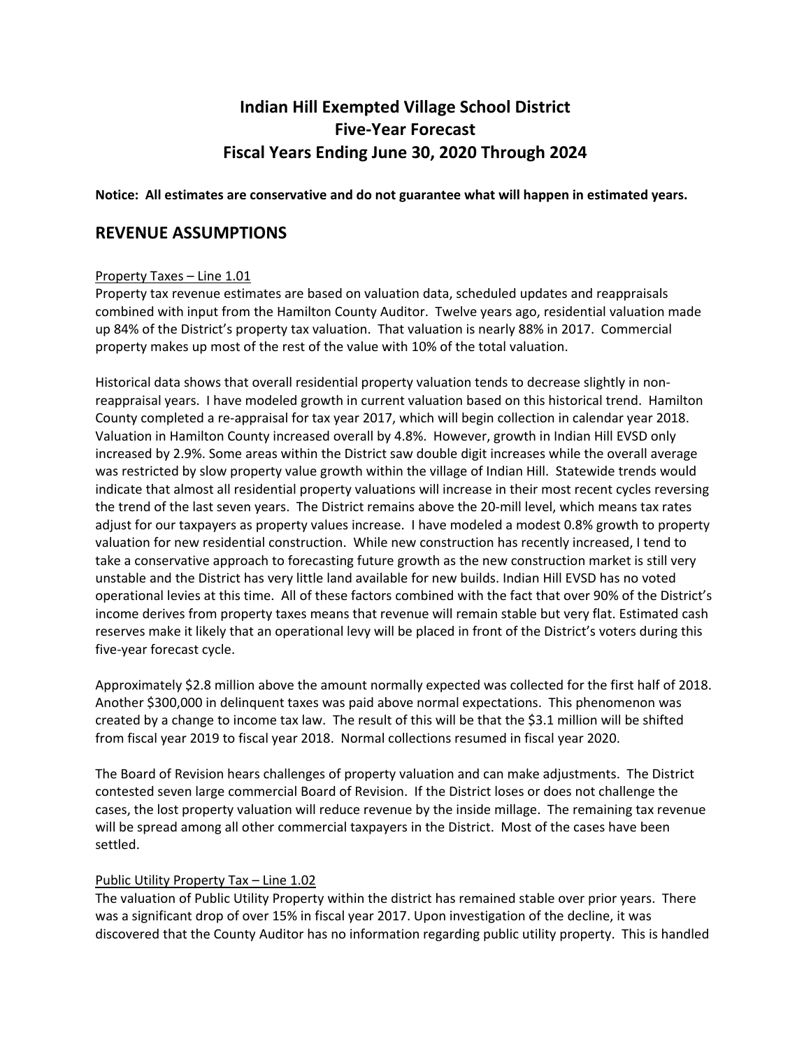# **Indian Hill Exempted Village School District Five‐Year Forecast Fiscal Years Ending June 30, 2020 Through 2024**

#### **Notice: All estimates are conservative and do not guarantee what will happen in estimated years.**

### **REVENUE ASSUMPTIONS**

#### Property Taxes – Line 1.01

Property tax revenue estimates are based on valuation data, scheduled updates and reappraisals combined with input from the Hamilton County Auditor. Twelve years ago, residential valuation made up 84% of the District's property tax valuation. That valuation is nearly 88% in 2017. Commercial property makes up most of the rest of the value with 10% of the total valuation.

Historical data shows that overall residential property valuation tends to decrease slightly in non‐ reappraisal years. I have modeled growth in current valuation based on this historical trend. Hamilton County completed a re‐appraisal for tax year 2017, which will begin collection in calendar year 2018. Valuation in Hamilton County increased overall by 4.8%. However, growth in Indian Hill EVSD only increased by 2.9%. Some areas within the District saw double digit increases while the overall average was restricted by slow property value growth within the village of Indian Hill. Statewide trends would indicate that almost all residential property valuations will increase in their most recent cycles reversing the trend of the last seven years. The District remains above the 20‐mill level, which means tax rates adjust for our taxpayers as property values increase. I have modeled a modest 0.8% growth to property valuation for new residential construction. While new construction has recently increased, I tend to take a conservative approach to forecasting future growth as the new construction market is still very unstable and the District has very little land available for new builds. Indian Hill EVSD has no voted operational levies at this time. All of these factors combined with the fact that over 90% of the District's income derives from property taxes means that revenue will remain stable but very flat. Estimated cash reserves make it likely that an operational levy will be placed in front of the District's voters during this five‐year forecast cycle.

Approximately \$2.8 million above the amount normally expected was collected for the first half of 2018. Another \$300,000 in delinquent taxes was paid above normal expectations. This phenomenon was created by a change to income tax law. The result of this will be that the \$3.1 million will be shifted from fiscal year 2019 to fiscal year 2018. Normal collections resumed in fiscal year 2020.

The Board of Revision hears challenges of property valuation and can make adjustments. The District contested seven large commercial Board of Revision. If the District loses or does not challenge the cases, the lost property valuation will reduce revenue by the inside millage. The remaining tax revenue will be spread among all other commercial taxpayers in the District. Most of the cases have been settled.

#### Public Utility Property Tax – Line 1.02

The valuation of Public Utility Property within the district has remained stable over prior years. There was a significant drop of over 15% in fiscal year 2017. Upon investigation of the decline, it was discovered that the County Auditor has no information regarding public utility property. This is handled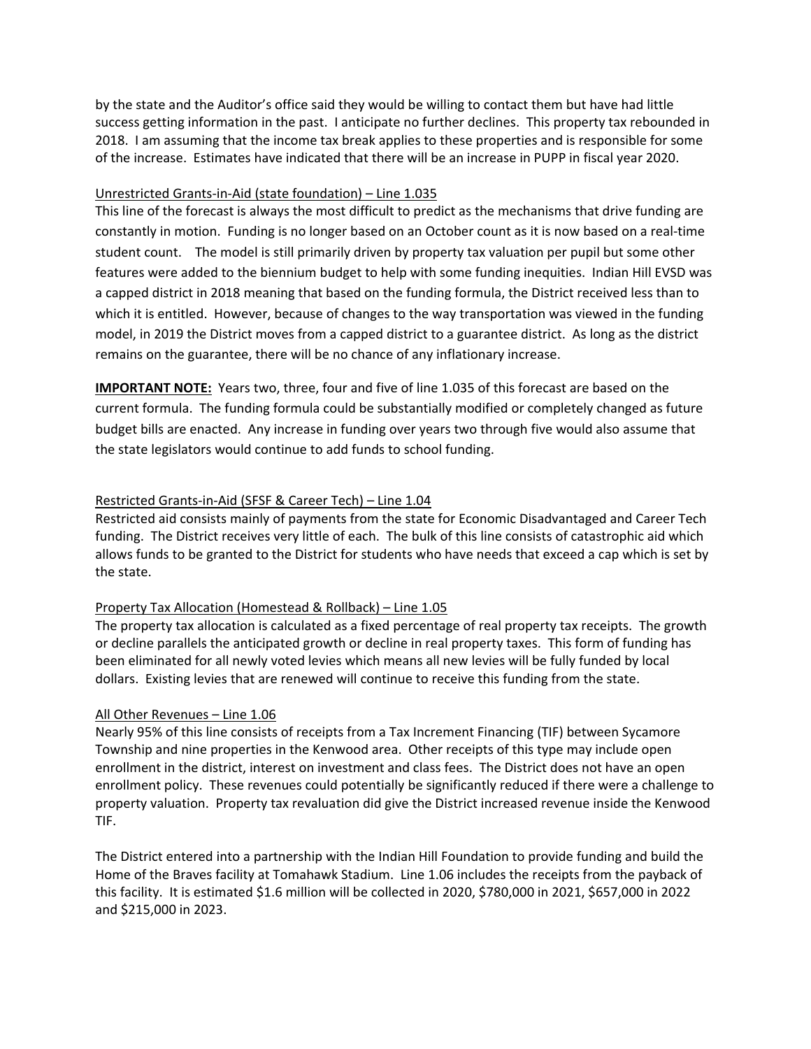by the state and the Auditor's office said they would be willing to contact them but have had little success getting information in the past. I anticipate no further declines. This property tax rebounded in 2018. I am assuming that the income tax break applies to these properties and is responsible for some of the increase. Estimates have indicated that there will be an increase in PUPP in fiscal year 2020.

#### Unrestricted Grants‐in‐Aid (state foundation) – Line 1.035

This line of the forecast is always the most difficult to predict as the mechanisms that drive funding are constantly in motion. Funding is no longer based on an October count as it is now based on a real‐time student count. The model is still primarily driven by property tax valuation per pupil but some other features were added to the biennium budget to help with some funding inequities. Indian Hill EVSD was a capped district in 2018 meaning that based on the funding formula, the District received less than to which it is entitled. However, because of changes to the way transportation was viewed in the funding model, in 2019 the District moves from a capped district to a guarantee district. As long as the district remains on the guarantee, there will be no chance of any inflationary increase.

**IMPORTANT NOTE:** Years two, three, four and five of line 1.035 of this forecast are based on the current formula. The funding formula could be substantially modified or completely changed as future budget bills are enacted. Any increase in funding over years two through five would also assume that the state legislators would continue to add funds to school funding.

#### Restricted Grants‐in‐Aid (SFSF & Career Tech) – Line 1.04

Restricted aid consists mainly of payments from the state for Economic Disadvantaged and Career Tech funding. The District receives very little of each. The bulk of this line consists of catastrophic aid which allows funds to be granted to the District for students who have needs that exceed a cap which is set by the state.

#### Property Tax Allocation (Homestead & Rollback) – Line 1.05

The property tax allocation is calculated as a fixed percentage of real property tax receipts. The growth or decline parallels the anticipated growth or decline in real property taxes. This form of funding has been eliminated for all newly voted levies which means all new levies will be fully funded by local dollars. Existing levies that are renewed will continue to receive this funding from the state.

#### All Other Revenues – Line 1.06

Nearly 95% of this line consists of receipts from a Tax Increment Financing (TIF) between Sycamore Township and nine properties in the Kenwood area. Other receipts of this type may include open enrollment in the district, interest on investment and class fees. The District does not have an open enrollment policy. These revenues could potentially be significantly reduced if there were a challenge to property valuation. Property tax revaluation did give the District increased revenue inside the Kenwood TIF.

The District entered into a partnership with the Indian Hill Foundation to provide funding and build the Home of the Braves facility at Tomahawk Stadium. Line 1.06 includes the receipts from the payback of this facility. It is estimated \$1.6 million will be collected in 2020, \$780,000 in 2021, \$657,000 in 2022 and \$215,000 in 2023.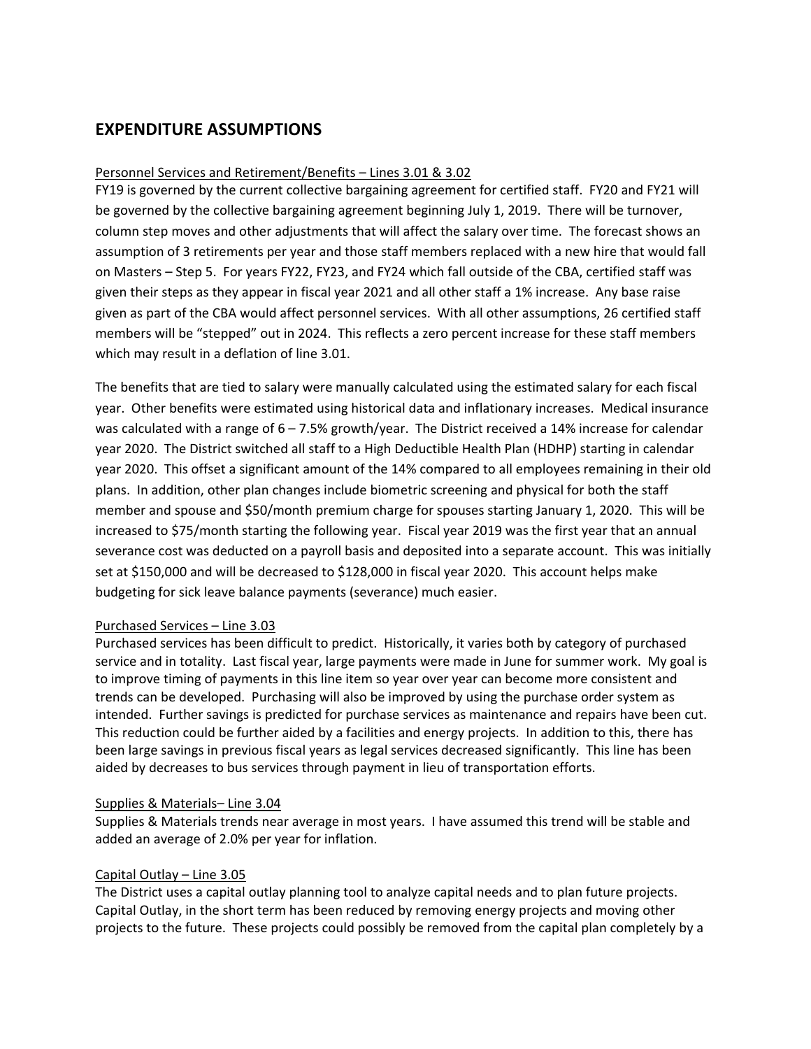## **EXPENDITURE ASSUMPTIONS**

#### Personnel Services and Retirement/Benefits – Lines 3.01 & 3.02

FY19 is governed by the current collective bargaining agreement for certified staff. FY20 and FY21 will be governed by the collective bargaining agreement beginning July 1, 2019. There will be turnover, column step moves and other adjustments that will affect the salary over time. The forecast shows an assumption of 3 retirements per year and those staff members replaced with a new hire that would fall on Masters – Step 5. For years FY22, FY23, and FY24 which fall outside of the CBA, certified staff was given their steps as they appear in fiscal year 2021 and all other staff a 1% increase. Any base raise given as part of the CBA would affect personnel services. With all other assumptions, 26 certified staff members will be "stepped" out in 2024. This reflects a zero percent increase for these staff members which may result in a deflation of line 3.01.

The benefits that are tied to salary were manually calculated using the estimated salary for each fiscal year. Other benefits were estimated using historical data and inflationary increases. Medical insurance was calculated with a range of 6 – 7.5% growth/year. The District received a 14% increase for calendar year 2020. The District switched all staff to a High Deductible Health Plan (HDHP) starting in calendar year 2020. This offset a significant amount of the 14% compared to all employees remaining in their old plans. In addition, other plan changes include biometric screening and physical for both the staff member and spouse and \$50/month premium charge for spouses starting January 1, 2020. This will be increased to \$75/month starting the following year. Fiscal year 2019 was the first year that an annual severance cost was deducted on a payroll basis and deposited into a separate account. This was initially set at \$150,000 and will be decreased to \$128,000 in fiscal year 2020. This account helps make budgeting for sick leave balance payments (severance) much easier.

#### Purchased Services – Line 3.03

Purchased services has been difficult to predict. Historically, it varies both by category of purchased service and in totality. Last fiscal year, large payments were made in June for summer work. My goal is to improve timing of payments in this line item so year over year can become more consistent and trends can be developed. Purchasing will also be improved by using the purchase order system as intended. Further savings is predicted for purchase services as maintenance and repairs have been cut. This reduction could be further aided by a facilities and energy projects. In addition to this, there has been large savings in previous fiscal years as legal services decreased significantly. This line has been aided by decreases to bus services through payment in lieu of transportation efforts.

#### Supplies & Materials– Line 3.04

Supplies & Materials trends near average in most years. I have assumed this trend will be stable and added an average of 2.0% per year for inflation.

#### Capital Outlay – Line 3.05

The District uses a capital outlay planning tool to analyze capital needs and to plan future projects. Capital Outlay, in the short term has been reduced by removing energy projects and moving other projects to the future. These projects could possibly be removed from the capital plan completely by a